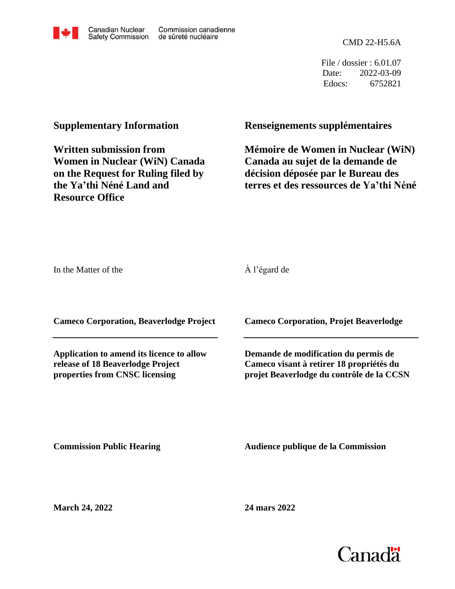

File / dossier : 6.01.07 Date: 2022-03-09 Edocs: 6752821

## **Supplementary Information**

**Written submission from Women in Nuclear (WiN) Canada on the Request for Ruling filed by the Ya'thi Néné Land and Resource Office**

## **Renseignements supplémentaires**

**Mémoire de Women in Nuclear (WiN) Canada au sujet de la demande de décision déposée par le Bureau des terres et des ressources de Ya'thi Néné**

In the Matter of the

À l'égard de

**Cameco Corporation, Beaverlodge Project**

**Application to amend its licence to allow release of 18 Beaverlodge Project properties from CNSC licensing**

**Cameco Corporation, Projet Beaverlodge**

**Demande de modification du permis de Cameco visant à retirer 18 propriétés du projet Beaverlodge du contrôle de la CCSN**

**Commission Public Hearing**

**Audience publique de la Commission** 

**March 24, 2022**

**24 mars 2022**





Commission canadienne de sûreté nucléaire